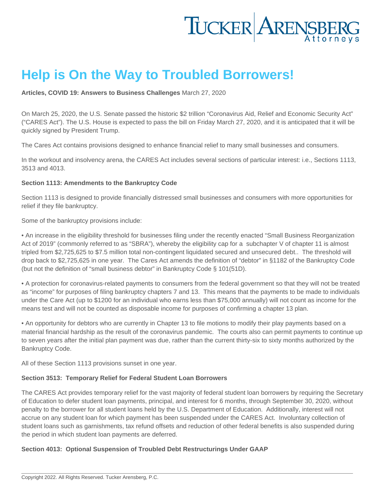## Help is On the Way to Troubled Borrowers!

[Articles](https://www.tuckerlaw.com/category/articles/) , [COVID 19: Answers to Business Challenges](https://www.tuckerlaw.com/category/covid-19-answers-to-business-challenges/) March 27, 2020

On March 25, 2020, the U.S. Senate passed the historic \$2 trillion "Coronavirus Aid, Relief and Economic Security Act" ("CARES Act"). The U.S. House is expected to pass the bill on Friday March 27, 2020, and it is anticipated that it will be quickly signed by President Trump.

The Cares Act contains provisions designed to enhance financial relief to many small businesses and consumers.

In the workout and insolvency arena, the CARES Act includes several sections of particular interest: i.e., Sections 1113, 3513 and 4013.

Section 1113: Amendments to the Bankruptcy Code

Section 1113 is designed to provide financially distressed small businesses and consumers with more opportunities for relief if they file bankruptcy.

Some of the bankruptcy provisions include:

• An increase in the eligibility threshold for businesses filing under the recently enacted "Small Business Reorganization Act of 2019" (commonly referred to as "SBRA"), whereby the eligibility cap for a subchapter V of chapter 11 is almost tripled from \$2,725,625 to \$7.5 million total non-contingent liquidated secured and unsecured debt.. The threshold will drop back to \$2,725,625 in one year. The Cares Act amends the definition of "debtor" in §1182 of the Bankruptcy Code (but not the definition of "small business debtor" in Bankruptcy Code § 101(51D).

• A protection for coronavirus-related payments to consumers from the federal government so that they will not be treated as "income" for purposes of filing bankruptcy chapters 7 and 13. This means that the payments to be made to individuals under the Care Act (up to \$1200 for an individual who earns less than \$75,000 annually) will not count as income for the means test and will not be counted as disposable income for purposes of confirming a chapter 13 plan.

• An opportunity for debtors who are currently in Chapter 13 to file motions to modify their play payments based on a material financial hardship as the result of the coronavirus pandemic. The courts also can permit payments to continue up to seven years after the initial plan payment was due, rather than the current thirty-six to sixty months authorized by the Bankruptcy Code.

All of these Section 1113 provisions sunset in one year.

Section 3513: Temporary Relief for Federal Student Loan Borrowers

The CARES Act provides temporary relief for the vast majority of federal student loan borrowers by requiring the Secretary of Education to defer student loan payments, principal, and interest for 6 months, through September 30, 2020, without penalty to the borrower for all student loans held by the U.S. Department of Education. Additionally, interest will not accrue on any student loan for which payment has been suspended under the CARES Act. Involuntary collection of student loans such as garnishments, tax refund offsets and reduction of other federal benefits is also suspended during the period in which student loan payments are deferred.

Section 4013: Optional Suspension of Troubled Debt Restructurings Under GAAP